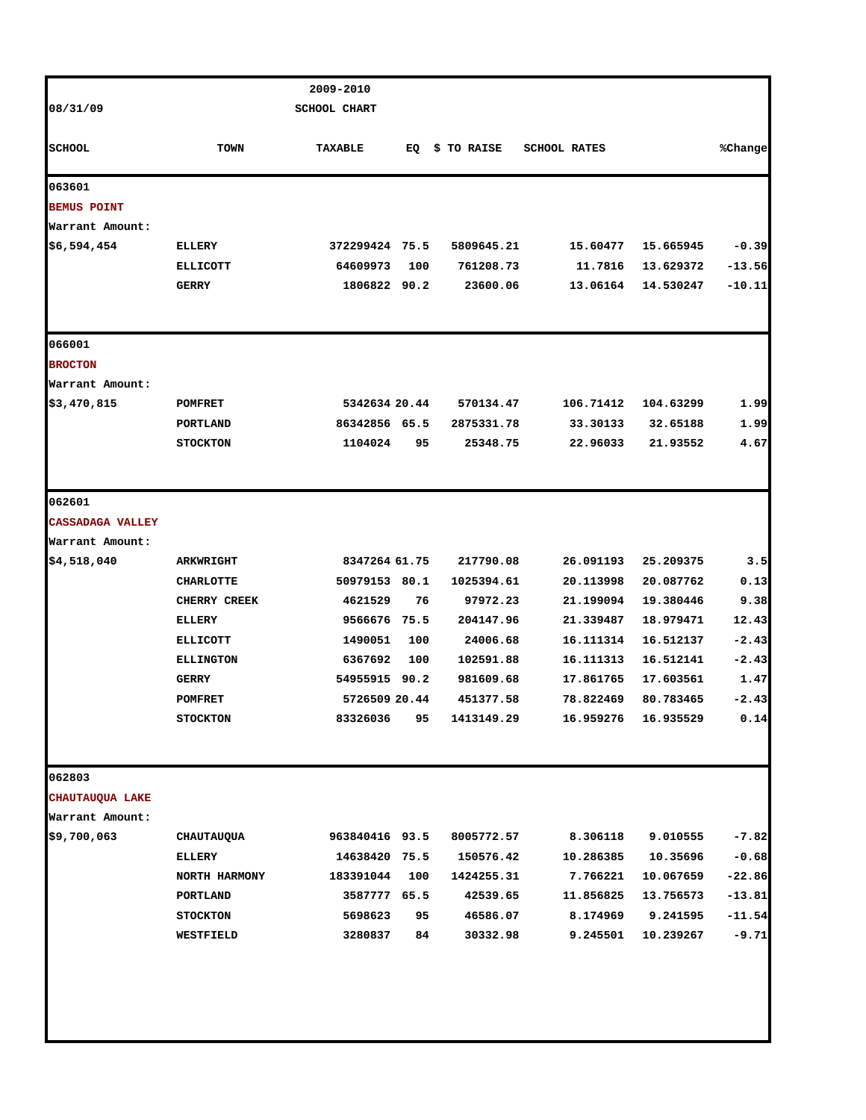|                         |                              | 2009-2010           |          |                      |                      |                       |                     |
|-------------------------|------------------------------|---------------------|----------|----------------------|----------------------|-----------------------|---------------------|
| 08/31/09                |                              | <b>SCHOOL CHART</b> |          |                      |                      |                       |                     |
| <b>SCHOOL</b>           | <b>TOWN</b>                  | TAXABLE             | EQ       | \$ TO RAISE          | <b>SCHOOL RATES</b>  |                       | %Change             |
| 063601                  |                              |                     |          |                      |                      |                       |                     |
| <b>BEMUS POINT</b>      |                              |                     |          |                      |                      |                       |                     |
| Warrant Amount:         |                              |                     |          |                      |                      |                       |                     |
| \$6,594,454             | <b>ELLERY</b>                | 372299424 75.5      |          | 5809645.21           | 15.60477             | 15.665945             | $-0.39$             |
|                         | <b>ELLICOTT</b>              | 64609973            | 100      | 761208.73            | 11.7816              | 13.629372             | $-13.56$            |
|                         | <b>GERRY</b>                 | 1806822 90.2        |          | 23600.06             | 13.06164             | 14.530247             | $-10.11$            |
| 066001                  |                              |                     |          |                      |                      |                       |                     |
| <b>BROCTON</b>          |                              |                     |          |                      |                      |                       |                     |
| Warrant Amount:         |                              |                     |          |                      |                      |                       |                     |
| \$3,470,815             | POMFRET                      | 5342634 20.44       |          | 570134.47            | 106.71412            | 104.63299             | 1.99                |
|                         | PORTLAND                     | 86342856 65.5       |          | 2875331.78           | 33.30133             | 32.65188              | 1.99                |
|                         | <b>STOCKTON</b>              | 1104024             | 95       | 25348.75             | 22.96033             | 21.93552              | 4.67                |
| 062601                  |                              |                     |          |                      |                      |                       |                     |
| <b>CASSADAGA VALLEY</b> |                              |                     |          |                      |                      |                       |                     |
| Warrant Amount:         |                              |                     |          |                      |                      |                       |                     |
| \$4,518,040             | <b>ARKWRIGHT</b>             | 8347264 61.75       |          | 217790.08            | 26.091193            | 25.209375             | 3.5                 |
|                         | <b>CHARLOTTE</b>             | 50979153 80.1       |          | 1025394.61           | 20.113998            | 20.087762             | 0.13                |
|                         | <b>CHERRY CREEK</b>          | 4621529             | 76       | 97972.23             | 21.199094            | 19.380446             | 9.38                |
|                         | <b>ELLERY</b>                | 9566676 75.5        |          | 204147.96            | 21.339487            | 18.979471             | 12.43               |
|                         | <b>ELLICOTT</b>              | 1490051             | 100      | 24006.68             | 16.111314            | 16.512137             | $-2.43$             |
|                         | <b>ELLINGTON</b>             | 6367692             | 100      | 102591.88            | 16.111313            | 16.512141             | $-2.43$             |
|                         | <b>GERRY</b>                 | 54955915 90.2       |          | 981609.68            | 17.861765            | 17.603561             | 1.47                |
|                         | <b>POMFRET</b>               | 5726509 20.44       |          | 451377.58            | 78.822469            | 80.783465             | $-2.43$             |
|                         | <b>STOCKTON</b>              | 83326036            | 95       | 1413149.29           | 16.959276            | 16.935529             | 0.14                |
| 062803                  |                              |                     |          |                      |                      |                       |                     |
| CHAUTAUQUA LAKE         |                              |                     |          |                      |                      |                       |                     |
| Warrant Amount:         |                              |                     |          |                      |                      |                       |                     |
| \$9,700,063             | CHAUTAUQUA                   | 963840416 93.5      |          | 8005772.57           | 8.306118             | 9.010555              | $-7.82$             |
|                         | <b>ELLERY</b>                | 14638420 75.5       |          | 150576.42            | 10.286385            | 10.35696              | $-0.68$             |
|                         | NORTH HARMONY                | 183391044           | 100      | 1424255.31           | 7.766221             | 10.067659             | $-22.86$            |
|                         | PORTLAND                     | 3587777 65.5        |          | 42539.65             | 11.856825            | 13.756573             | $-13.81$            |
|                         | <b>STOCKTON</b><br>WESTFIELD | 5698623<br>3280837  | 95<br>84 | 46586.07<br>30332.98 | 8.174969<br>9.245501 | 9.241595<br>10.239267 | $-11.54$<br>$-9.71$ |
|                         |                              |                     |          |                      |                      |                       |                     |
|                         |                              |                     |          |                      |                      |                       |                     |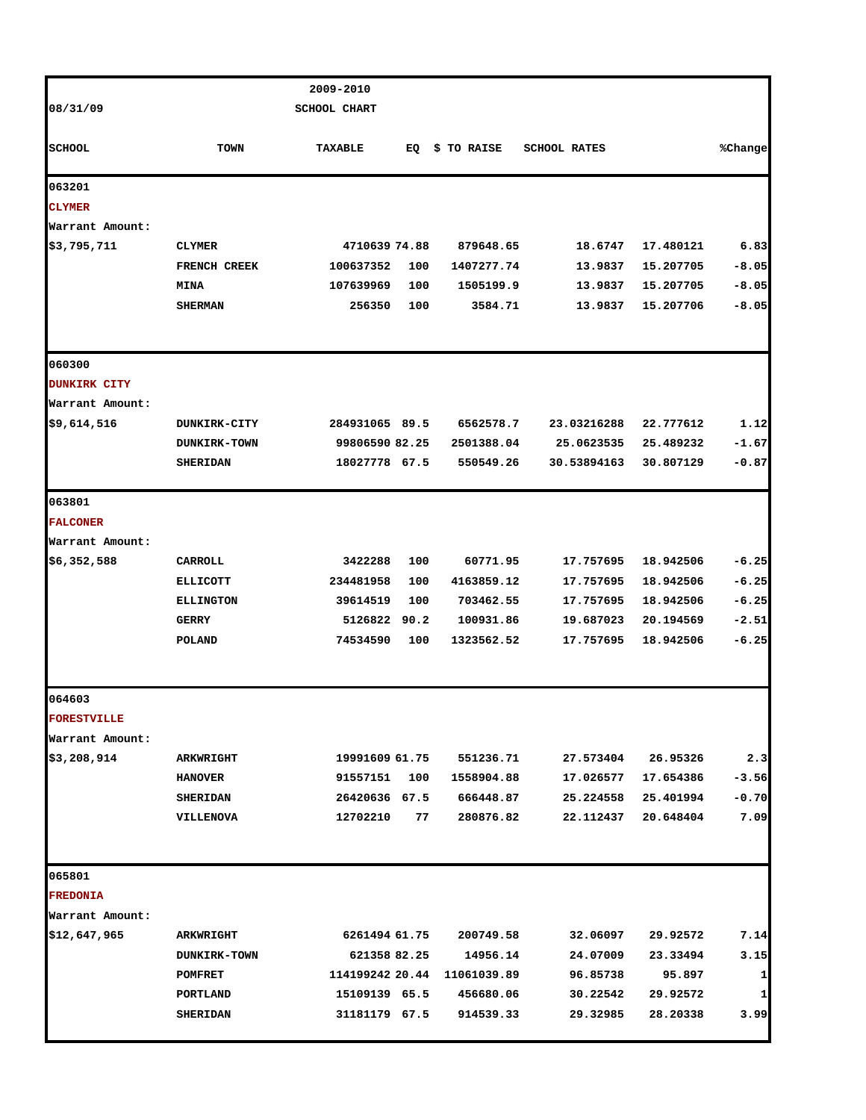|                     |                     | 2009-2010       |     |             |                     |           |         |
|---------------------|---------------------|-----------------|-----|-------------|---------------------|-----------|---------|
| 08/31/09            |                     | SCHOOL CHART    |     |             |                     |           |         |
| <b>SCHOOL</b>       | <b>TOWN</b>         | TAXABLE         | EQ  | \$ TO RAISE | <b>SCHOOL RATES</b> |           | %Change |
| 063201              |                     |                 |     |             |                     |           |         |
| <b>CLYMER</b>       |                     |                 |     |             |                     |           |         |
| Warrant Amount:     |                     |                 |     |             |                     |           |         |
| \$3,795,711         | <b>CLYMER</b>       | 4710639 74.88   |     | 879648.65   | 18.6747             | 17.480121 | 6.83    |
|                     | <b>FRENCH CREEK</b> | 100637352       | 100 | 1407277.74  | 13.9837             | 15.207705 | $-8.05$ |
|                     | <b>MINA</b>         | 107639969       | 100 | 1505199.9   | 13.9837             | 15.207705 | $-8.05$ |
|                     | <b>SHERMAN</b>      | 256350          | 100 | 3584.71     | 13.9837             | 15.207706 | $-8.05$ |
| 060300              |                     |                 |     |             |                     |           |         |
| <b>DUNKIRK CITY</b> |                     |                 |     |             |                     |           |         |
| Warrant Amount:     |                     |                 |     |             |                     |           |         |
| \$9,614,516         | <b>DUNKIRK-CITY</b> | 284931065 89.5  |     | 6562578.7   | 23.03216288         | 22.777612 | 1.12    |
|                     | <b>DUNKIRK-TOWN</b> | 99806590 82.25  |     | 2501388.04  | 25.0623535          | 25.489232 | $-1.67$ |
|                     | <b>SHERIDAN</b>     | 18027778 67.5   |     | 550549.26   | 30.53894163         | 30.807129 | $-0.87$ |
| 063801              |                     |                 |     |             |                     |           |         |
| <b>FALCONER</b>     |                     |                 |     |             |                     |           |         |
| Warrant Amount:     |                     |                 |     |             |                     |           |         |
| \$6,352,588         | <b>CARROLL</b>      | 3422288         | 100 | 60771.95    | 17.757695           | 18.942506 | $-6.25$ |
|                     | <b>ELLICOTT</b>     | 234481958       | 100 | 4163859.12  | 17.757695           | 18.942506 | $-6.25$ |
|                     | <b>ELLINGTON</b>    | 39614519        | 100 | 703462.55   | 17.757695           | 18.942506 | $-6.25$ |
|                     | <b>GERRY</b>        | 5126822 90.2    |     | 100931.86   | 19.687023           | 20.194569 | $-2.51$ |
|                     | POLAND              | 74534590        | 100 | 1323562.52  | 17.757695           | 18.942506 | $-6.25$ |
| 064603              |                     |                 |     |             |                     |           |         |
| <b>FORESTVILLE</b>  |                     |                 |     |             |                     |           |         |
| Warrant Amount:     |                     |                 |     |             |                     |           |         |
| \$3,208,914         | <b>ARKWRIGHT</b>    | 19991609 61.75  |     | 551236.71   | 27.573404           | 26.95326  | 2.3     |
|                     | <b>HANOVER</b>      | 91557151        | 100 | 1558904.88  | 17.026577           | 17.654386 | $-3.56$ |
|                     | <b>SHERIDAN</b>     | 26420636 67.5   |     | 666448.87   | 25.224558           | 25.401994 | $-0.70$ |
|                     | <b>VILLENOVA</b>    | 12702210        | 77  | 280876.82   | 22.112437           | 20.648404 | 7.09    |
| 065801              |                     |                 |     |             |                     |           |         |
| <b>FREDONIA</b>     |                     |                 |     |             |                     |           |         |
| Warrant Amount:     |                     |                 |     |             |                     |           |         |
| \$12,647,965        | <b>ARKWRIGHT</b>    | 6261494 61.75   |     | 200749.58   | 32.06097            | 29.92572  | 7.14    |
|                     | <b>DUNKIRK-TOWN</b> | 621358 82.25    |     | 14956.14    | 24.07009            | 23.33494  | 3.15    |
|                     | POMFRET             | 114199242 20.44 |     | 11061039.89 | 96.85738            | 95.897    | 1       |
|                     | PORTLAND            | 15109139 65.5   |     | 456680.06   | 30.22542            | 29.92572  | 1       |
|                     | <b>SHERIDAN</b>     | 31181179 67.5   |     | 914539.33   | 29.32985            | 28.20338  | 3.99    |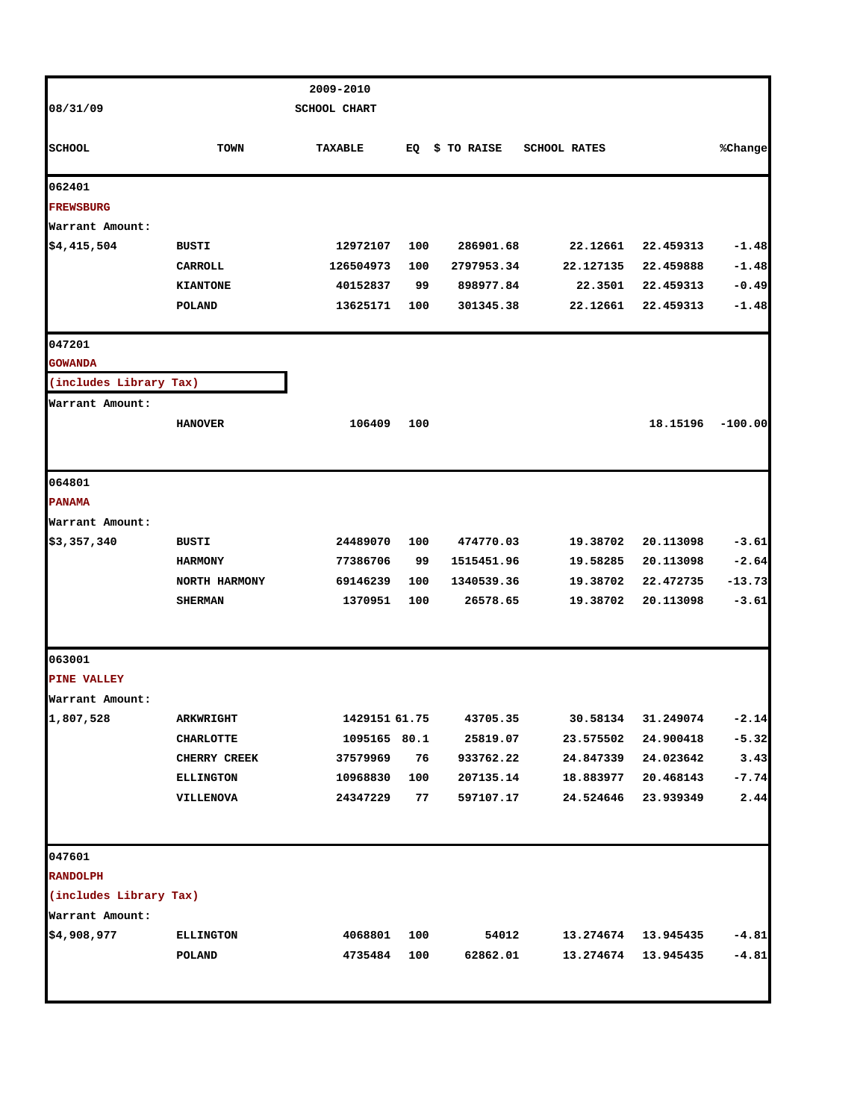|                        |                  | 2009-2010           |     |             |                     |           |           |
|------------------------|------------------|---------------------|-----|-------------|---------------------|-----------|-----------|
| 08/31/09               |                  | <b>SCHOOL CHART</b> |     |             |                     |           |           |
|                        |                  |                     |     |             |                     |           |           |
| <b>SCHOOL</b>          | <b>TOWN</b>      | <b>TAXABLE</b>      | EQ  | \$ TO RAISE | <b>SCHOOL RATES</b> |           | %Change   |
| 062401                 |                  |                     |     |             |                     |           |           |
| <b>FREWSBURG</b>       |                  |                     |     |             |                     |           |           |
| Warrant Amount:        |                  |                     |     |             |                     |           |           |
| \$4,415,504            | <b>BUSTI</b>     | 12972107            | 100 | 286901.68   | 22.12661            | 22.459313 | $-1.48$   |
|                        | CARROLL          | 126504973           | 100 | 2797953.34  | 22.127135           | 22.459888 | $-1.48$   |
|                        | <b>KIANTONE</b>  | 40152837            | 99  | 898977.84   | 22.3501             | 22.459313 | $-0.49$   |
|                        | <b>POLAND</b>    | 13625171            | 100 | 301345.38   | 22.12661            | 22.459313 | $-1.48$   |
| 047201                 |                  |                     |     |             |                     |           |           |
| <b>GOWANDA</b>         |                  |                     |     |             |                     |           |           |
| (includes Library Tax) |                  |                     |     |             |                     |           |           |
| Warrant Amount:        |                  |                     |     |             |                     |           |           |
|                        | <b>HANOVER</b>   | 106409              | 100 |             |                     | 18.15196  | $-100.00$ |
|                        |                  |                     |     |             |                     |           |           |
| 064801                 |                  |                     |     |             |                     |           |           |
| <b>PANAMA</b>          |                  |                     |     |             |                     |           |           |
| Warrant Amount:        |                  |                     |     |             |                     |           |           |
| \$3,357,340            | <b>BUSTI</b>     | 24489070            | 100 | 474770.03   | 19.38702            | 20.113098 | $-3.61$   |
|                        | <b>HARMONY</b>   | 77386706            | 99  | 1515451.96  | 19.58285            | 20.113098 | $-2.64$   |
|                        | NORTH HARMONY    | 69146239            | 100 | 1340539.36  | 19.38702            | 22.472735 | $-13.73$  |
|                        | <b>SHERMAN</b>   | 1370951             | 100 | 26578.65    | 19.38702            | 20.113098 | $-3.61$   |
|                        |                  |                     |     |             |                     |           |           |
| 063001                 |                  |                     |     |             |                     |           |           |
| <b>PINE VALLEY</b>     |                  |                     |     |             |                     |           |           |
| Warrant Amount:        |                  |                     |     |             |                     |           |           |
| 1,807,528              | <b>ARKWRIGHT</b> | 1429151 61.75       |     | 43705.35    | 30.58134            | 31.249074 | $-2.14$   |
|                        | <b>CHARLOTTE</b> | 1095165 80.1        |     | 25819.07    | 23.575502           | 24.900418 | $-5.32$   |
|                        | CHERRY CREEK     | 37579969            | 76  | 933762.22   | 24.847339           | 24.023642 | 3.43      |
|                        | <b>ELLINGTON</b> | 10968830            | 100 | 207135.14   | 18.883977           | 20.468143 | $-7.74$   |
|                        | VILLENOVA        | 24347229            | 77  | 597107.17   | 24.524646           | 23.939349 | 2.44      |
| 047601                 |                  |                     |     |             |                     |           |           |
| <b>RANDOLPH</b>        |                  |                     |     |             |                     |           |           |
| (includes Library Tax) |                  |                     |     |             |                     |           |           |
| Warrant Amount:        |                  |                     |     |             |                     |           |           |
| \$4,908,977            | <b>ELLINGTON</b> | 4068801             | 100 | 54012       | 13.274674           | 13.945435 | $-4.81$   |
|                        | POLAND           | 4735484             | 100 | 62862.01    | 13.274674           | 13.945435 | $-4.81$   |
|                        |                  |                     |     |             |                     |           |           |